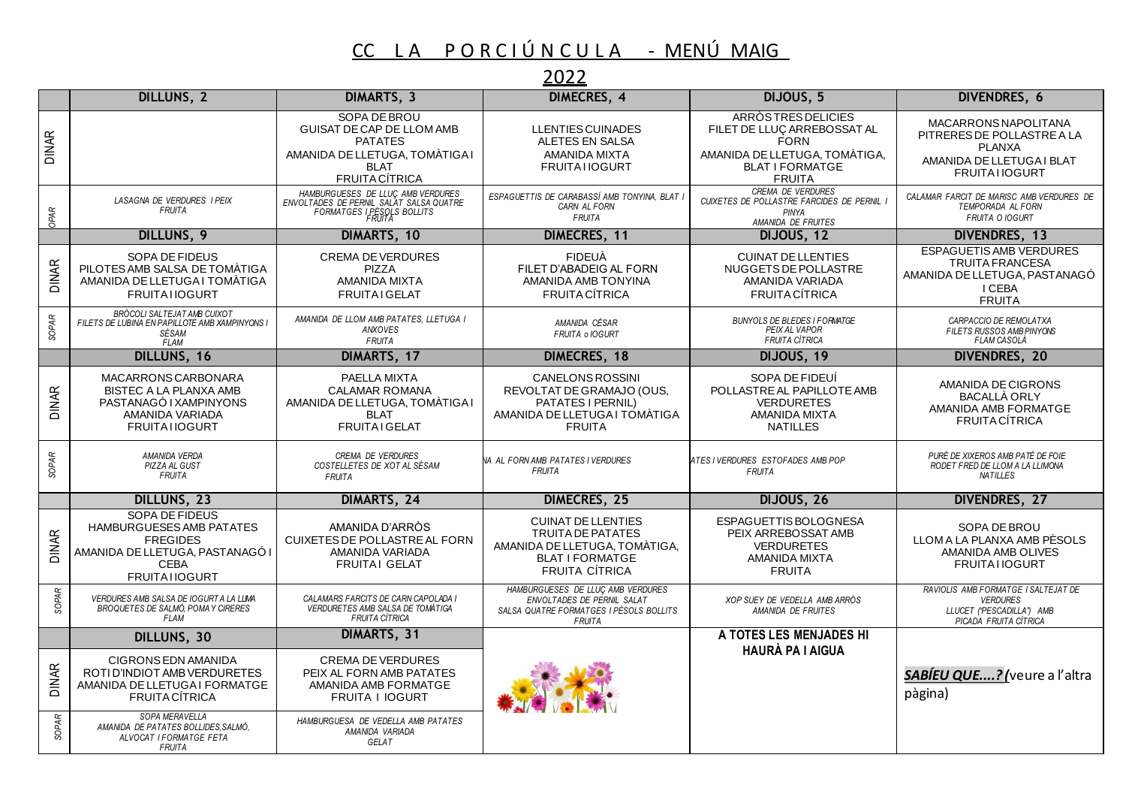## CC LA PORCIÚNCULA - MENÚMAIG

## 2022

|              | DILLUNS, 2                                                                                                                                             | DIMARTS, 3                                                                                                                                   | DIMECRES, 4                                                                                                                        | DIJOUS, 5                                                                                                                                           | <b>DIVENDRES, 6</b>                                                                                                       |
|--------------|--------------------------------------------------------------------------------------------------------------------------------------------------------|----------------------------------------------------------------------------------------------------------------------------------------------|------------------------------------------------------------------------------------------------------------------------------------|-----------------------------------------------------------------------------------------------------------------------------------------------------|---------------------------------------------------------------------------------------------------------------------------|
| <b>DINAR</b> |                                                                                                                                                        | SOPA DE BROU<br><b>GUISAT DE CAP DE LLOM AMB</b><br><b>PATATES</b><br>AMANIDA DE LLETUGA, TOMÀTIGA I<br><b>BLAT</b><br><b>FRUITA CÍTRICA</b> | <b>LLENTIES CUINADES</b><br>ALETES EN SALSA<br>AMANIDA MIXTA<br><b>FRUITAI IOGURT</b>                                              | <b>ARRÒSTRES DELICIES</b><br>FILET DE LLUÇ ARREBOSSAT AL<br><b>FORN</b><br>AMANIDA DE LLETUGA, TOMÀTIGA,<br><b>BLAT I FORMATGE</b><br><b>FRUITA</b> | MACARRONS NAPOLITANA<br>PITRERES DE POLLASTRE A LA<br><b>PLANXA</b><br>AMANIDA DE LLETUGA I BLAT<br><b>FRUITAI IOGURT</b> |
| OPAR         | LASAGNA DE VERDURES I PEIX<br><b>FRUITA</b>                                                                                                            | HAMBURGUESES DE LLUÇ AMB VERDURES<br>FORMATGES DE PERNIL SALAT SALSA QUATRE<br>FORMATGES I PÈSOLS BOLLITS<br>FORMATGES I PÈSOLS BOLLITS      | ESPAGUETTIS DE CARABASSÍ AMB TONYINA. BLAT I<br>CARN AL FORN<br><b>FRUITA</b>                                                      | CREMA DE VERDURES<br>CUIXETES DE POLLASTRE FARCIDES DE PERNIL I<br>PINYA<br>AMANIDA DE FRUITES                                                      | CALAMAR FARCIT DE MARISC AMB VERDURES DE<br>TEMPORADA AL FORN<br><b>FRUITA O IOGURT</b>                                   |
|              | DILLUNS, 9                                                                                                                                             | DIMARTS, 10                                                                                                                                  | DIMECRES, 11                                                                                                                       | DIJOUS, 12                                                                                                                                          | DIVENDRES, 13                                                                                                             |
| <b>DINAR</b> | SOPA DE FIDEUS<br>PILOTES AMB SALSA DE TOMÀTIGA<br>AMANIDA DE LLETUGA I TOMÀTIGA<br><b>FRUITAI IOGURT</b>                                              | <b>CREMA DE VERDURES</b><br><b>PIZZA</b><br><b>AMANIDA MIXTA</b><br><b>FRUITAI GELAT</b>                                                     | <b>FIDEUÀ</b><br>FILET D'ABADEIG AL FORN<br>AMANIDA AMB TONYINA<br><b>FRUITA CÍTRICA</b>                                           | <b>CUINAT DE LLENTIES</b><br>NUGGETS DE POLLASTRE<br>AMANIDA VARIADA<br><b>FRUITA CÍTRICA</b>                                                       | <b>ESPAGUETIS AMB VERDURES</b><br><b>TRUITA FRANCESA</b><br>AMANIDA DE LLETUGA, PASTANAGÓ<br>I CEBA<br><b>FRUITA</b>      |
| SOPAR        | BRÒCOLI SALTEJAT AMB CUIXOT<br>FILETS DE LUBINA EN PAPILLOTE AMB XAMPINYONS I<br>SÈSAM<br><b>FLAM</b>                                                  | AMANIDA DE LLOM AMB PATATES, LLETUGA I<br>ANXOVES<br><b>FRUITA</b>                                                                           | AMANIDA CÉSAR<br>FRUITA o IOGURT                                                                                                   | <b>BUNYOLS DE BLEDES I FORMATGE</b><br>PEIX AL VAPOR<br><b>FRUITA CÍTRICA</b>                                                                       | CARPACCIO DE REMOLATXA<br>FILETS RUSSOS AMB PINYONS<br>FLAM CASOLÀ                                                        |
|              | DILLUNS, 16                                                                                                                                            | DIMARTS, 17                                                                                                                                  | <b>DIMECRES, 18</b>                                                                                                                | DIJOUS, 19                                                                                                                                          | DIVENDRES, 20                                                                                                             |
| <b>DINAR</b> | MACARRONS CARBONARA<br><b>BISTEC A LA PLANXA AMB</b><br>PASTANAGÓ I XAMPINYONS<br>AMANIDA VARIADA<br><b>FRUITATIOGURT</b>                              | PAELLA MIXTA<br><b>CALAMAR ROMANA</b><br>AMANIDA DE LLETUGA, TOMÀTIGA I<br><b>BLAT</b><br><b>FRUITAI GELAT</b>                               | <b>CANELONS ROSSINI</b><br>REVOLTAT DE GRAMAJO (OUS,<br>PATATES I PERNIL)<br>AMANIDA DE LLETUGA I TÓMÀTIGA<br><b>FRUITA</b>        | SOPA DE FIDEUÍ<br>POLLASTRE AL PAPILLOTE AMB<br><b>VERDURETES</b><br><b>AMANIDA MIXTA</b><br><b>NATILLES</b>                                        | AMANIDA DE CIGRONS<br><b>BACALLÀ ORLY</b><br>AMANIDA AMB FORMATGE<br><b>FRUITA CÍTRICA</b>                                |
| <b>SOPAR</b> | <b>AMANIDA VERDA</b><br>PIZZA AL GUST<br><b>FRUITA</b>                                                                                                 | <b>CREMA DE VERDURES</b><br>COSTELLETES DE XOT AL SÉSAM<br><b>FRUITA</b>                                                                     | NA AL FORN AMB PATATES I VERDURES<br><b>FRUITA</b>                                                                                 | ATES I VERDURES ESTOFADES AMB POP<br><b>FRUITA</b>                                                                                                  | PURÉ DE XIXEROS AMB PATÉ DE FOIE<br>RODET FRED DE LLOM A LA LLIMONA<br><b>NATILLES</b>                                    |
|              | DILLUNS, 23                                                                                                                                            | DIMARTS, 24                                                                                                                                  | DIMECRES, 25                                                                                                                       | DIJOUS, 26                                                                                                                                          | <b>DIVENDRES, 27</b>                                                                                                      |
| <b>DINAR</b> | <b>SOPA DE FIDEUS</b><br><b>HAMBURGUESES AMB PATATES</b><br><b>FREGIDES</b><br>AMANIDA DE LLETUGA, PASTANAGÓ I<br><b>CEBA</b><br><b>FRUITAI IOGURT</b> | AMANIDA D'ARRÒS<br>CUIXETES DE POLLASTRE AL FORN<br>AMANIDA VARIADA<br><b>FRUITAI GELAT</b>                                                  | <b>CUINAT DE LLENTIES</b><br>TRUITA DE PATATES<br>AMANIDA DE LLETUGA, TOMÀTIGA,<br><b>BLAT I FORMATGE</b><br><b>FRUITA CÍTRICA</b> | ESPAGUETTIS BOLOGNESA<br>PEIX ARREBOSSAT AMB<br><b>VERDURETES</b><br>AMANIDA MIXTA<br><b>FRUITA</b>                                                 | SOPA DE BROU<br>LLOM A LA PLANXA AMB PÈSOLS<br>AMANIDA AMB OLIVES<br><b>FRUITAI IOGURT</b>                                |
| <b>SOPAR</b> | VERDURES AMB SALSA DE IOGURT A LA LLMA<br><b>BROQUETES DE SALMÓ, POMA Y CIRERES</b><br><b>FLAM</b>                                                     | CALAMARS FARCITS DE CARN CAPOLADA I<br><b>VERDURETES AMB SALSA DE TOMÀTIGA</b><br><b>FRUITA CÍTRICA</b>                                      | HAMBURGUESES DE LLUÇ AMB VERDURES<br>ENVOLTADES DE PERNIL SALAT<br>SALSA QUATRE FORMATGES I PÈSOLS BOLLITS<br><b>FRUITA</b>        | XOP SUEY DE VEDELLA AMB ARRÒS<br><b>AMANIDA DE FRUITES</b>                                                                                          | RAVIOLIS AMB FORMATGE I SALTEJAT DE<br><b>VERDURES</b><br>LLUCET ("PESCADILLA") AMB<br>PICADA FRUITA CÍTRICA              |
|              | DILLUNS, 30                                                                                                                                            | DIMARTS, 31                                                                                                                                  |                                                                                                                                    | A TOTES LES MENJADES HI                                                                                                                             |                                                                                                                           |
| <b>DINAR</b> | <b>CIGRONS EDN AMANIDA</b><br>ROTI D'INDIOT AMB VERDURETES<br>AMANIDA DE LLETUGA I FORMATGE<br><b>FRUITA CÍTRICA</b>                                   | <b>CREMA DE VERDURES</b><br>PEIX AL FORN AMB PATATES<br>AMANIDA AMB FORMATGE<br><b>FRUITA I IOGURT</b>                                       |                                                                                                                                    | <b>HAURÀ PA I AIGUA</b>                                                                                                                             | <b>SABÍEU QUE?</b> (veure a l'altra<br>pàgina)                                                                            |
| SOPAR        | SOPA MERAVELLA<br>AMANIDA DE PATATES BOLLIDES, SALMÓ,<br>ALVOCAT I FORMATGE FETA<br><b>FRUITA</b>                                                      | HAMBURGUESA DE VEDELLA AMB PATATES<br>AMANIDA VARIADA<br>GELAT                                                                               |                                                                                                                                    |                                                                                                                                                     |                                                                                                                           |